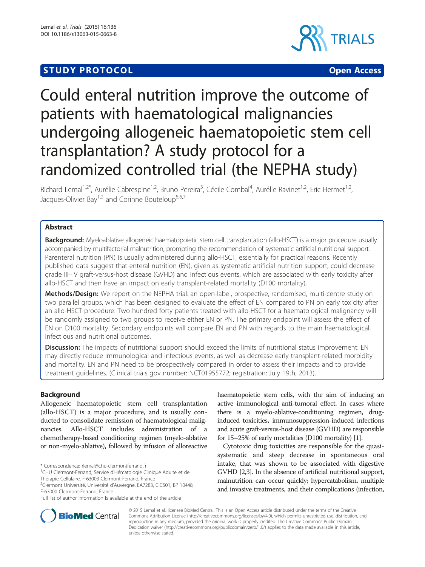## **STUDY PROTOCOL CONSUMING THE RESERVE ACCESS**





# Could enteral nutrition improve the outcome of patients with haematological malignancies undergoing allogeneic haematopoietic stem cell transplantation? A study protocol for a randomized controlled trial (the NEPHA study)

Richard Lemal<sup>1,2\*</sup>, Aurélie Cabrespine<sup>1,2</sup>, Bruno Pereira<sup>3</sup>, Cécile Combal<sup>4</sup>, Aurélie Ravinet<sup>1,2</sup>, Eric Hermet<sup>1,2</sup>, Jacques-Olivier Bay<sup>1,2</sup> and Corinne Bouteloup<sup>5,6,7</sup>

## Abstract

Background: Myeloablative allogeneic haematopoietic stem cell transplantation (allo-HSCT) is a major procedure usually accompanied by multifactorial malnutrition, prompting the recommendation of systematic artificial nutritional support. Parenteral nutrition (PN) is usually administered during allo-HSCT, essentially for practical reasons. Recently published data suggest that enteral nutrition (EN), given as systematic artificial nutrition support, could decrease grade III–IV graft-versus-host disease (GVHD) and infectious events, which are associated with early toxicity after allo-HSCT and then have an impact on early transplant-related mortality (D100 mortality).

Methods/Design: We report on the NEPHA trial: an open-label, prospective, randomised, multi-centre study on two parallel groups, which has been designed to evaluate the effect of EN compared to PN on early toxicity after an allo-HSCT procedure. Two hundred forty patients treated with allo-HSCT for a haematological malignancy will be randomly assigned to two groups to receive either EN or PN. The primary endpoint will assess the effect of EN on D100 mortality. Secondary endpoints will compare EN and PN with regards to the main haematological, infectious and nutritional outcomes.

**Discussion:** The impacts of nutritional support should exceed the limits of nutritional status improvement: EN may directly reduce immunological and infectious events, as well as decrease early transplant-related morbidity and mortality. EN and PN need to be prospectively compared in order to assess their impacts and to provide treatment guidelines. (Clinical trials gov number: NCT01955772; registration: July 19th, 2013).

## Background

Allogeneic haematopoietic stem cell transplantation (allo-HSCT) is a major procedure, and is usually conducted to consolidate remission of haematological malignancies. Allo-HSCT includes administration of a chemotherapy-based conditioning regimen (myelo-ablative or non-myelo-ablative), followed by infusion of alloreactive

Thérapie Cellulaire, F-63003 Clermont-Ferrand, France

haematopoietic stem cells, with the aim of inducing an active immunological anti-tumoral effect. In cases where there is a myelo-ablative-conditioning regimen, druginduced toxicities, immunosuppression-induced infections and acute graft-versus-host disease (GVHD) are responsible for 15–25% of early mortalities (D100 mortality) [[1](#page-7-0)].

Cytotoxic drug toxicities are responsible for the quasisystematic and steep decrease in spontaneous oral intake, that was shown to be associated with digestive GVHD [[2](#page-7-0)[,3](#page-8-0)]. In the absence of artificial nutritional support, malnutrition can occur quickly; hypercatabolism, multiple and invasive treatments, and their complications (infection,



© 2015 Lemal et al.; licensee BioMed Central. This is an Open Access article distributed under the terms of the Creative Commons Attribution License [\(http://creativecommons.org/licenses/by/4.0\)](http://creativecommons.org/licenses/by/4.0), which permits unrestricted use, distribution, and reproduction in any medium, provided the original work is properly credited. The Creative Commons Public Domain Dedication waiver [\(http://creativecommons.org/publicdomain/zero/1.0/](http://creativecommons.org/publicdomain/zero/1.0/)) applies to the data made available in this article, unless otherwise stated.

<sup>\*</sup> Correspondence: [rlemal@chu-clermontferrand.fr](mailto:rlemal@chu-clermontferrand.fr) <sup>1</sup>

CHU Clermont-Ferrand, Service d'Hématologie Clinique Adulte et de

<sup>2</sup> Clermont Université, Université d'Auvergne, EA7283, CIC501, BP 10448, F-63000 Clermont-Ferrand, France

Full list of author information is available at the end of the article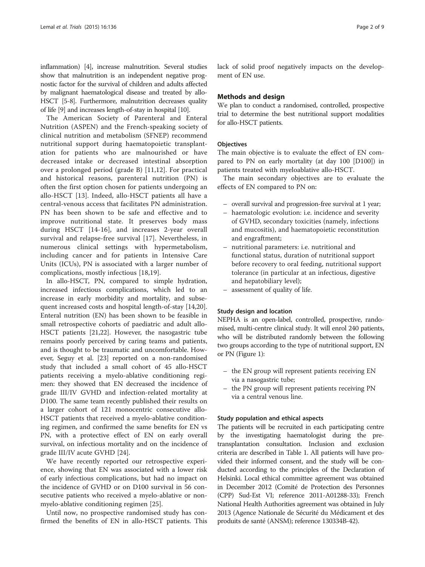inflammation) [[4\]](#page-8-0), increase malnutrition. Several studies show that malnutrition is an independent negative prognostic factor for the survival of children and adults affected by malignant haematological disease and treated by allo-HSCT [[5](#page-8-0)-[8](#page-8-0)]. Furthermore, malnutrition decreases quality of life [\[9\]](#page-8-0) and increases length-of-stay in hospital [\[10\]](#page-8-0).

The American Society of Parenteral and Enteral Nutrition (ASPEN) and the French-speaking society of clinical nutrition and metabolism (SFNEP) recommend nutritional support during haematopoietic transplantation for patients who are malnourished or have decreased intake or decreased intestinal absorption over a prolonged period (grade B) [[11,12\]](#page-8-0). For practical and historical reasons, parenteral nutrition (PN) is often the first option chosen for patients undergoing an allo-HSCT [[13](#page-8-0)]. Indeed, allo-HSCT patients all have a central-venous access that facilitates PN administration. PN has been shown to be safe and effective and to improve nutritional state. It preserves body mass during HSCT [\[14](#page-8-0)-[16](#page-8-0)], and increases 2-year overall survival and relapse-free survival [[17\]](#page-8-0). Nevertheless, in numerous clinical settings with hypermetabolism, including cancer and for patients in Intensive Care Units (ICUs), PN is associated with a larger number of complications, mostly infectious [[18,19](#page-8-0)].

In allo-HSCT, PN, compared to simple hydration, increased infectious complications, which led to an increase in early morbidity and mortality, and subsequent increased costs and hospital length-of-stay [\[14,20](#page-8-0)]. Enteral nutrition (EN) has been shown to be feasible in small retrospective cohorts of paediatric and adult allo-HSCT patients [\[21,22](#page-8-0)]. However, the nasogastric tube remains poorly perceived by caring teams and patients, and is thought to be traumatic and uncomfortable. However, Seguy et al. [[23](#page-8-0)] reported on a non-randomised study that included a small cohort of 45 allo-HSCT patients receiving a myelo-ablative conditioning regimen: they showed that EN decreased the incidence of grade III/IV GVHD and infection-related mortality at D100. The same team recently published their results on a larger cohort of 121 monocentric consecutive allo-HSCT patients that received a myelo-ablative conditioning regimen, and confirmed the same benefits for EN vs PN, with a protective effect of EN on early overall survival, on infectious mortality and on the incidence of grade III/IV acute GVHD [\[24](#page-8-0)].

We have recently reported our retrospective experience, showing that EN was associated with a lower risk of early infectious complications, but had no impact on the incidence of GVHD or on D100 survival in 56 consecutive patients who received a myelo-ablative or nonmyelo-ablative conditioning regimen [\[25\]](#page-8-0).

Until now, no prospective randomised study has confirmed the benefits of EN in allo-HSCT patients. This lack of solid proof negatively impacts on the development of EN use.

#### Methods and design

We plan to conduct a randomised, controlled, prospective trial to determine the best nutritional support modalities for allo-HSCT patients.

#### **Objectives**

The main objective is to evaluate the effect of EN compared to PN on early mortality (at day 100 [D100]) in patients treated with myeloablative allo-HSCT.

The main secondary objectives are to evaluate the effects of EN compared to PN on:

- overall survival and progression-free survival at 1 year;
- haematologic evolution: i.e. incidence and severity of GVHD, secondary toxicities (namely, infections and mucositis), and haematopoietic reconstitution and engraftment;
- nutritional parameters: i.e. nutritional and functional status, duration of nutritional support before recovery to oral feeding, nutritional support tolerance (in particular at an infectious, digestive and hepatobiliary level);
- assessment of quality of life.

#### Study design and location

NEPHA is an open-label, controlled, prospective, randomised, multi-centre clinical study. It will enrol 240 patients, who will be distributed randomly between the following two groups according to the type of nutritional support, EN or PN (Figure [1](#page-2-0)):

- the EN group will represent patients receiving EN via a nasogastric tube;
- the PN group will represent patients receiving PN via a central venous line.

#### Study population and ethical aspects

The patients will be recruited in each participating centre by the investigating haematologist during the pretransplantation consultation. Inclusion and exclusion criteria are described in Table [1](#page-2-0). All patients will have provided their informed consent, and the study will be conducted according to the principles of the Declaration of Helsinki. Local ethical committee agreement was obtained in December 2012 (Comité de Protection des Personnes (CPP) Sud-Est VI; reference 2011-A01288-33); French National Health Authorities agreement was obtained in July 2013 (Agence Nationale de Sécurité du Médicament et des produits de santé (ANSM); reference 130334B-42).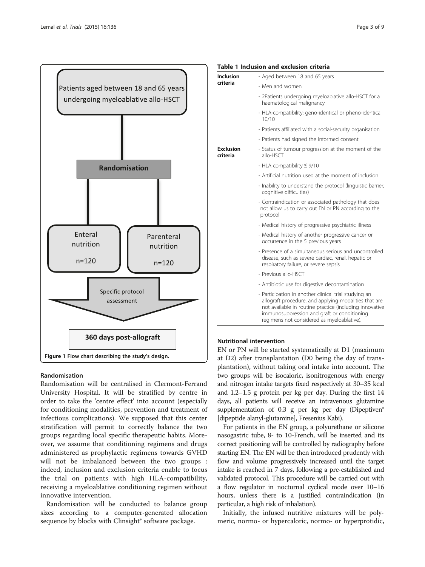<span id="page-2-0"></span>

#### Randomisation

Randomisation will be centralised in Clermont-Ferrand University Hospital. It will be stratified by centre in order to take the 'centre effect' into account (especially for conditioning modalities, prevention and treatment of infectious complications). We supposed that this center stratification will permit to correctly balance the two groups regarding local specific therapeutic habits. Moreover, we assume that conditioning regimens and drugs administered as prophylactic regimens towards GVHD will not be imbalanced between the two groups : indeed, inclusion and exclusion criteria enable to focus the trial on patients with high HLA-compatibility, receiving a myeloablative conditioning regimen without innovative intervention.

Randomisation will be conducted to balance group sizes according to a computer-generated allocation sequence by blocks with Clinsight® software package.

## Table 1 Inclusion and exclusion criteria Inclu

| Inclusion                    | - Aged between 18 and 65 years                                                                                                                                                                                                                                         |  |  |  |  |  |
|------------------------------|------------------------------------------------------------------------------------------------------------------------------------------------------------------------------------------------------------------------------------------------------------------------|--|--|--|--|--|
| criteria                     | - Men and women                                                                                                                                                                                                                                                        |  |  |  |  |  |
|                              | - 2Patients undergoing myeloablative allo-HSCT for a<br>haematological malignancy                                                                                                                                                                                      |  |  |  |  |  |
|                              | - HLA-compatibility: geno-identical or pheno-identical<br>10/10                                                                                                                                                                                                        |  |  |  |  |  |
|                              | - Patients affiliated with a social-security organisation                                                                                                                                                                                                              |  |  |  |  |  |
|                              | - Patients had signed the informed consent                                                                                                                                                                                                                             |  |  |  |  |  |
| <b>Exclusion</b><br>criteria | - Status of tumour progression at the moment of the<br>allo-HSCT                                                                                                                                                                                                       |  |  |  |  |  |
|                              | - HLA compatibility $\leq$ 9/10                                                                                                                                                                                                                                        |  |  |  |  |  |
|                              | - Artificial nutrition used at the moment of inclusion                                                                                                                                                                                                                 |  |  |  |  |  |
|                              | - Inability to understand the protocol (linguistic barrier,<br>cognitive difficulties)                                                                                                                                                                                 |  |  |  |  |  |
|                              | - Contraindication or associated pathology that does<br>not allow us to carry out EN or PN according to the<br>protocol                                                                                                                                                |  |  |  |  |  |
|                              | - Medical history of progressive psychiatric illness                                                                                                                                                                                                                   |  |  |  |  |  |
|                              | - Medical history of another progressive cancer or<br>occurrence in the 5 previous years                                                                                                                                                                               |  |  |  |  |  |
|                              | - Presence of a simultaneous serious and uncontrolled<br>disease, such as severe cardiac, renal, hepatic or<br>respiratory failure, or severe sepsis                                                                                                                   |  |  |  |  |  |
|                              | - Previous allo-HSCT                                                                                                                                                                                                                                                   |  |  |  |  |  |
|                              | - Antibiotic use for digestive decontamination                                                                                                                                                                                                                         |  |  |  |  |  |
|                              | - Participation in another clinical trial studying an<br>allograft procedure, and applying modalities that are<br>not available in routine practice (including innovative<br>immunosuppression and graft or conditioning<br>regimens not considered as myeloablative). |  |  |  |  |  |

#### Nutritional intervention

EN or PN will be started systematically at D1 (maximum at D2) after transplantation (D0 being the day of transplantation), without taking oral intake into account. The two groups will be isocaloric, isonitrogenous with energy and nitrogen intake targets fixed respectively at 30–35 kcal and 1.2–1.5 g protein per kg per day. During the first 14 days, all patients will receive an intravenous glutamine supplementation of 0.3 g per kg per day (Dipeptiven® [dipeptide alanyl-glutamine], Fresenius Kabi).

For patients in the EN group, a polyurethane or silicone nasogastric tube, 8- to 10-French, will be inserted and its correct positioning will be controlled by radiography before starting EN. The EN will be then introduced prudently with flow and volume progressively increased until the target intake is reached in 7 days, following a pre-established and validated protocol. This procedure will be carried out with a flow regulator in nocturnal cyclical mode over 10–16 hours, unless there is a justified contraindication (in particular, a high risk of inhalation).

Initially, the infused nutritive mixtures will be polymeric, normo- or hypercaloric, normo- or hyperprotidic,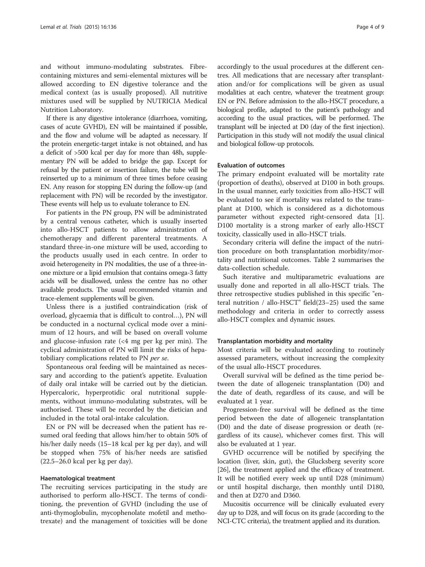and without immuno-modulating substrates. Fibrecontaining mixtures and semi-elemental mixtures will be allowed according to EN digestive tolerance and the medical context (as is usually proposed). All nutritive mixtures used will be supplied by NUTRICIA Medical Nutrition Laboratory.

If there is any digestive intolerance (diarrhoea, vomiting, cases of acute GVHD), EN will be maintained if possible, and the flow and volume will be adapted as necessary. If the protein energetic-target intake is not obtained, and has a deficit of >500 kcal per day for more than 48h, supplementary PN will be added to bridge the gap. Except for refusal by the patient or insertion failure, the tube will be reinserted up to a minimum of three times before ceasing EN. Any reason for stopping EN during the follow-up (and replacement with PN) will be recorded by the investigator. These events will help us to evaluate tolerance to EN.

For patients in the PN group, PN will be administrated by a central venous catheter, which is usually inserted into allo-HSCT patients to allow administration of chemotherapy and different parenteral treatments. A standard three-in-one mixture will be used, according to the products usually used in each centre. In order to avoid heterogeneity in PN modalities, the use of a three-inone mixture or a lipid emulsion that contains omega-3 fatty acids will be disallowed, unless the centre has no other available products. The usual recommended vitamin and trace-element supplements will be given.

Unless there is a justified contraindication (risk of overload, glycaemia that is difficult to control…), PN will be conducted in a nocturnal cyclical mode over a minimum of 12 hours, and will be based on overall volume and glucose-infusion rate  $\left($  <4 mg per kg per min). The cyclical administration of PN will limit the risks of hepatobiliary complications related to PN per se.

Spontaneous oral feeding will be maintained as necessary and according to the patient's appetite. Evaluation of daily oral intake will be carried out by the dietician. Hypercaloric, hyperprotidic oral nutritional supplements, without immuno-modulating substrates, will be authorised. These will be recorded by the dietician and included in the total oral-intake calculation.

EN or PN will be decreased when the patient has resumed oral feeding that allows him/her to obtain 50% of his/her daily needs (15–18 kcal per kg per day), and will be stopped when 75% of his/her needs are satisfied (22.5–26.0 kcal per kg per day).

#### Haematological treatment

The recruiting services participating in the study are authorised to perform allo-HSCT. The terms of conditioning, the prevention of GVHD (including the use of anti-thymoglobulin, mycophenolate mofetil and methotrexate) and the management of toxicities will be done

accordingly to the usual procedures at the different centres. All medications that are necessary after transplantation and/or for complications will be given as usual modalities at each centre, whatever the treatment group: EN or PN. Before admission to the allo-HSCT procedure, a biological profile, adapted to the patient's pathology and according to the usual practices, will be performed. The transplant will be injected at D0 (day of the first injection). Participation in this study will not modify the usual clinical and biological follow-up protocols.

#### Evaluation of outcomes

The primary endpoint evaluated will be mortality rate (proportion of deaths), observed at D100 in both groups. In the usual manner, early toxicities from allo-HSCT will be evaluated to see if mortality was related to the transplant at D100, which is considered as a dichotomous parameter without expected right-censored data [\[1](#page-7-0)]. D100 mortality is a strong marker of early allo-HSCT toxicity, classically used in allo-HSCT trials.

Secondary criteria will define the impact of the nutrition procedure on both transplantation morbidity/mortality and nutritional outcomes. Table [2](#page-4-0) summarises the data-collection schedule.

Such iterative and multiparametric evaluations are usually done and reported in all allo-HSCT trials. The three retrospective studies published in this specific "enteral nutrition / allo-HSCT" field(23–25) used the same methodology and criteria in order to correctly assess allo-HSCT complex and dynamic issues.

#### Transplantation morbidity and mortality

Most criteria will be evaluated according to routinely assessed parameters, without increasing the complexity of the usual allo-HSCT procedures.

Overall survival will be defined as the time period between the date of allogeneic transplantation (D0) and the date of death, regardless of its cause, and will be evaluated at 1 year.

Progression-free survival will be defined as the time period between the date of allogeneic transplantation (D0) and the date of disease progression or death (regardless of its cause), whichever comes first. This will also be evaluated at 1 year.

GVHD occurrence will be notified by specifying the location (liver, skin, gut), the Glucksberg severity score [[26\]](#page-8-0), the treatment applied and the efficacy of treatment. It will be notified every week up until D28 (minimum) or until hospital discharge, then monthly until D180, and then at D270 and D360.

Mucositis occurrence will be clinically evaluated every day up to D28, and will focus on its grade (according to the NCI-CTC criteria), the treatment applied and its duration.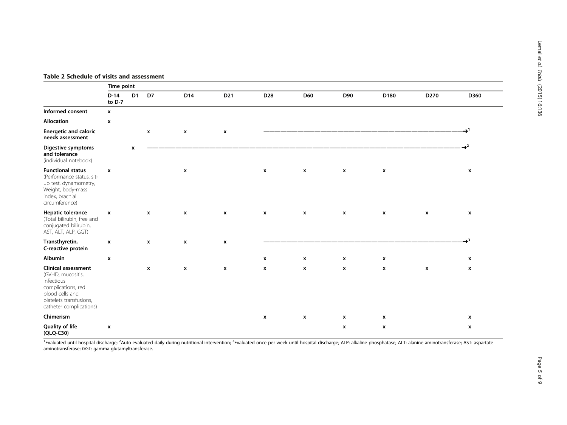<span id="page-4-0"></span>

|                                                                                                                                                              | Time point                |                |              |                    |                    |                           |                    |                           |                    |                    |                    |  |  |
|--------------------------------------------------------------------------------------------------------------------------------------------------------------|---------------------------|----------------|--------------|--------------------|--------------------|---------------------------|--------------------|---------------------------|--------------------|--------------------|--------------------|--|--|
|                                                                                                                                                              | $D-14$<br>to $D-7$        | D <sub>1</sub> | D7           | D14                | D <sub>21</sub>    | D <sub>28</sub>           | D60                | D90                       | D180               | D270               | D360               |  |  |
| Informed consent                                                                                                                                             | $\mathbf{x}$              |                |              |                    |                    |                           |                    |                           |                    |                    |                    |  |  |
| Allocation                                                                                                                                                   | $\boldsymbol{\mathsf{x}}$ |                |              |                    |                    |                           |                    |                           |                    |                    |                    |  |  |
| <b>Energetic and caloric</b><br>needs assessment                                                                                                             |                           |                | $\mathbf{x}$ | $\pmb{\mathsf{x}}$ | $\pmb{\mathsf{x}}$ |                           |                    |                           |                    |                    |                    |  |  |
| <b>Digestive symptoms</b><br>and tolerance<br>(individual notebook)                                                                                          |                           | $\mathbf{x}$   |              |                    |                    |                           |                    |                           |                    |                    | $\mathbf{r}^2$     |  |  |
| <b>Functional status</b><br>(Performance status, sit-<br>up test, dynamometry,<br>Weight, body-mass<br>index, brachial<br>circumference)                     | $\boldsymbol{\mathsf{x}}$ |                |              | $\pmb{\mathsf{x}}$ |                    | $\boldsymbol{\mathsf{x}}$ | $\mathbf{x}$       | $\boldsymbol{\mathsf{x}}$ | $\pmb{\mathsf{x}}$ |                    | $\pmb{\chi}$       |  |  |
| Hepatic tolerance<br>(Total bilirubin, free and<br>conjugated bilirubin,<br>AST, ALT, ALP, GGT)                                                              | $\boldsymbol{\mathsf{x}}$ |                | X            | $\pmb{\mathsf{x}}$ | x                  | $\mathbf{x}$              | $\pmb{\mathsf{x}}$ | $\mathbf{x}$              | $\mathbf{x}$       | $\pmb{\mathsf{x}}$ | $\pmb{\mathsf{x}}$ |  |  |
| Transthyretin,<br>C-reactive protein                                                                                                                         | $\boldsymbol{\mathsf{x}}$ |                | $\mathbf{x}$ | $\pmb{\mathsf{x}}$ | $\pmb{\chi}$       |                           |                    |                           |                    |                    | $\mathbf{r}^3$     |  |  |
| Albumin                                                                                                                                                      | $\mathbf{x}$              |                |              |                    |                    | $\mathbf{x}$              | $\mathbf{x}$       | $\mathbf{x}$              | $\mathbf{x}$       |                    | x                  |  |  |
| <b>Clinical assessment</b><br>(GVHD, mucositis,<br>infectious<br>complications, red<br>blood cells and<br>platelets transfusions,<br>catheter complications) |                           |                | X            | $\pmb{\mathsf{x}}$ | x                  | $\pmb{\chi}$              | $\pmb{\mathsf{x}}$ | $\mathbf{x}$              | $\mathbf{x}$       | $\pmb{\mathsf{x}}$ | x                  |  |  |
| Chimerism                                                                                                                                                    |                           |                |              |                    |                    | $\mathbf{x}$              | $\mathbf{x}$       | $\mathbf{x}$              | $\mathbf{x}$       |                    | x                  |  |  |
| <b>Quality of life</b><br>(QLQ-C30)                                                                                                                          | $\mathbf{x}$              |                |              |                    |                    |                           |                    | $\pmb{\mathsf{x}}$        | $\mathbf{x}$       |                    | $\pmb{\chi}$       |  |  |

<sup>1</sup>Evaluated until hospital discharge; <sup>2</sup>Auto-evaluated daily during nutritional intervention; <sup>3</sup>Evaluated once per week until hospital discharge; ALP: alkaline phosphatase; ALT: alanine aminotransferase; AST: aspartate aminotransferase; GGT: gamma-glutamyltransferase.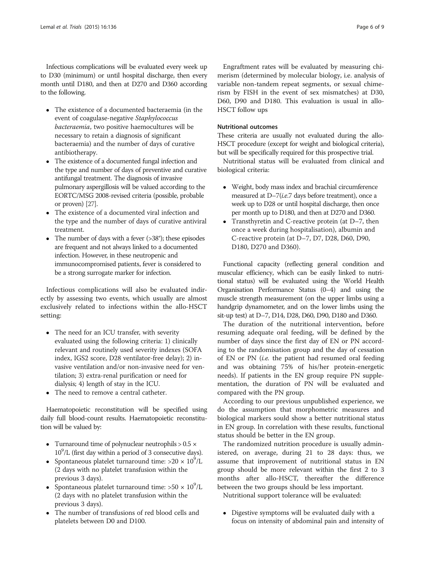Infectious complications will be evaluated every week up to D30 (minimum) or until hospital discharge, then every month until D180, and then at D270 and D360 according to the following.

- The existence of a documented bacteraemia (in the event of coagulase-negative Staphylococcus bacteraemia, two positive haemocultures will be necessary to retain a diagnosis of significant bacteraemia) and the number of days of curative antibiotherapy.
- The existence of a documented fungal infection and the type and number of days of preventive and curative antifungal treatment. The diagnosis of invasive pulmonary aspergillosis will be valued according to the EORTC/MSG 2008-revised criteria (possible, probable or proven) [\[27](#page-8-0)].
- The existence of a documented viral infection and the type and the number of days of curative antiviral treatment.
- The number of days with a fever  $(>38^\circ)$ ; these episodes are frequent and not always linked to a documented infection. However, in these neutropenic and immunocompromised patients, fever is considered to be a strong surrogate marker for infection.

Infectious complications will also be evaluated indirectly by assessing two events, which usually are almost exclusively related to infections within the allo-HSCT setting:

- The need for an ICU transfer, with severity evaluated using the following criteria: 1) clinically relevant and routinely used severity indexes (SOFA index, IGS2 score, D28 ventilator-free delay); 2) invasive ventilation and/or non-invasive need for ventilation; 3) extra-renal purification or need for dialysis; 4) length of stay in the ICU.
- The need to remove a central catheter.

Haematopoietic reconstitution will be specified using daily full blood-count results. Haematopoietic reconstitution will be valued by:

- Turnaround time of polynuclear neutrophils  $> 0.5 \times$ 10<sup>9</sup>/L (first day within a period of 3 consecutive days).
- Spontaneous platelet turnaround time:  $>20 \times 10^9$ /L (2 days with no platelet transfusion within the previous 3 days).
- Spontaneous platelet turnaround time:  $>50 \times 10^9$ /L (2 days with no platelet transfusion within the previous 3 days).
- The number of transfusions of red blood cells and platelets between D0 and D100.

Engraftment rates will be evaluated by measuring chimerism (determined by molecular biology, i.e. analysis of variable non-tandem repeat segments, or sexual chimerism by FISH in the event of sex mismatches) at D30, D60, D90 and D180. This evaluation is usual in allo-HSCT follow ups

#### Nutritional outcomes

These criteria are usually not evaluated during the allo-HSCT procedure (except for weight and biological criteria), but will be specifically required for this prospective trial.

Nutritional status will be evaluated from clinical and biological criteria:

- Weight, body mass index and brachial circumference measured at D-7(i.e.7 days before treatment), once a week up to D28 or until hospital discharge, then once per month up to D180, and then at D270 and D360.
- Transthyretin and C-reactive protein (at D–7, then once a week during hospitalisation), albumin and C-reactive protein (at D–7, D7, D28, D60, D90, D180, D270 and D360).

Functional capacity (reflecting general condition and muscular efficiency, which can be easily linked to nutritional status) will be evaluated using the World Health Organisation Performance Status (0–4) and using the muscle strength measurement (on the upper limbs using a handgrip dynamometer, and on the lower limbs using the sit-up test) at D–7, D14, D28, D60, D90, D180 and D360.

The duration of the nutritional intervention, before resuming adequate oral feeding, will be defined by the number of days since the first day of EN or PN according to the randomisation group and the day of cessation of EN or PN (i.e. the patient had resumed oral feeding and was obtaining 75% of his/her protein-energetic needs). If patients in the EN group require PN supplementation, the duration of PN will be evaluated and compared with the PN group.

According to our previous unpublished experience, we do the assumption that morphometric measures and biological markers sould show a better nutritional status in EN group. In correlation with these results, functional status should be better in the EN group.

The randomized nutrition procedure is usually administered, on average, during 21 to 28 days: thus, we assume that improvement of nutritional status in EN group should be more relevant within the first 2 to 3 months after allo-HSCT, thereafter the difference between the two groups should be less important.

Nutritional support tolerance will be evaluated:

 Digestive symptoms will be evaluated daily with a focus on intensity of abdominal pain and intensity of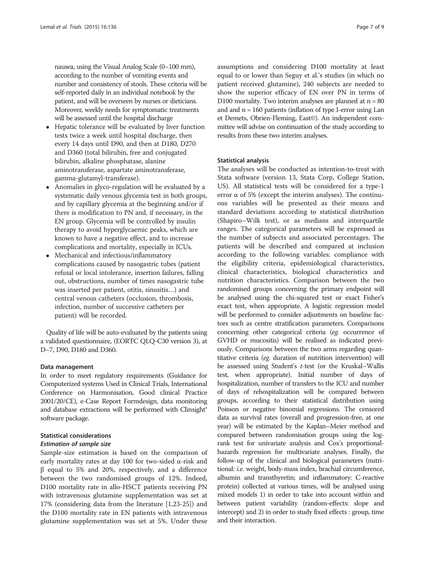nausea, using the Visual Analog Scale (0–100 mm), according to the number of vomiting events and number and consistency of stools. These criteria will be self-reported daily in an individual notebook by the patient, and will be overseen by nurses or dieticians. Moreover, weekly needs for symptomatic treatments will be assessed until the hospital discharge

- Hepatic tolerance will be evaluated by liver function tests twice a week until hospital discharge, then every 14 days until D90, and then at D180, D270 and D360 (total bilirubin, free and conjugated bilirubin, alkaline phosphatase, alanine aminotransferase, aspartate aminotransferase, gamma-glutamyl-transferase).
- Anomalies in glyco-regulation will be evaluated by a systematic daily venous glycemia test in both groups, and by capillary glycemia at the beginning and/or if there is modification to PN and, if necessary, in the EN group. Glycemia will be controlled by insulin therapy to avoid hyperglycaemic peaks, which are known to have a negative effect, and to increase complications and mortality, especially in ICUs.
- Mechanical and infectious/inflammatory complications caused by nasogastric tubes (patient refusal or local intolerance, insertion failures, falling out, obstructions, number of times nasogastric tube was inserted per patient, otitis, sinusitis…) and central venous catheters (occlusion, thrombosis, infection, number of successive catheters per patient) will be recorded.

Quality of life will be auto-evaluated by the patients using a validated questionnaire, (EORTC QLQ-C30 version 3), at D–7, D90, D180 and D360.

#### Data management

In order to meet regulatory requirements (Guidance for Computerized systems Used in Clinical Trials, International Conference on Harmonisation, Good clinical Practice 2001/20/CE), e-Case Report Formdesign, data monitoring and database extractions will be performed with Clinsight® software package.

#### Statistical considerations

#### Estimation of sample size

Sample-size estimation is based on the comparison of early mortality rates at day 100 for two-sided α-risk and β equal to 5% and 20%, respectively, and a difference between the two randomised groups of 12%. Indeed, D100 mortality rate in allo-HSCT patients receiving PN with intravenous glutamine supplementation was set at 17% (considering data from the literature [\[1](#page-7-0)[,23](#page-8-0)-[25\]](#page-8-0)) and the D100 mortality rate in EN patients with intravenous glutamine supplementation was set at 5%. Under these

assumptions and considering D100 mortality at least equal to or lower than Seguy et al.'s studies (in which no patient received glutamine), 240 subjects are needed to show the superior efficacy of EN over PN in terms of D100 mortality. Two interim analyses are planned at  $n = 80$ and and  $n = 160$  patients (inflation of type I-error using Lan et Demets, Obrien-Fleming, East©). An independent committee will advise on continuation of the study according to results from these two interim analyses.

#### Statistical analysis

The analyses will be conducted as intention-to-treat with Stata software (version 13, Stata Corp, College Station, US). All statistical tests will be considered for a type-1 error  $\alpha$  of 5% (except the interim analyses). The continuous variables will be presented as their means and standard deviations according to statistical distribution (Shapiro–Wilk test), or as medians and interquartile ranges. The categorical parameters will be expressed as the number of subjects and associated percentages. The patients will be described and compared at inclusion according to the following variables: compliance with the eligibility criteria, epidemiological characteristics, clinical characteristics, biological characteristics and nutrition characteristics. Comparison between the two randomised groups concerning the primary endpoint will be analysed using the chi-squared test or exact Fisher's exact test, when appropriate. A logistic regression model will be performed to consider adjustments on baseline factors such as centre stratification parameters. Comparisons concerning other categorical criteria (eg. occurrence of GVHD or mucositis) will be realised as indicated previously. Comparisons between the two arms regarding quantitative criteria (eg. duration of nutrition intervention) will be assessed using Student's t-test (or the Kruskal–Wallis test, when appropriate). Initial number of days of hospitalization, number of transfers to the ICU and number of days of rehospitalization will be compared between groups, according to their statistical distribution using Poisson or negative binomial regressions. The censored data as survival rates (overall and progression-free, at one year) will be estimated by the Kaplan–Meier method and compared between randomisation groups using the logrank test for univariate analysis and Cox's proportionalhazards regression for multivariate analyses. Finally, the follow-up of the clinical and biological parameters (nutritional: i.e. weight, body-mass index, brachial circumference, albumin and transthyretin; and inflammatory: C-reactive protein) collected at various times, will be analysed using mixed models 1) in order to take into account within and between patient variability (random-effects: slope and intercept) and 2) in order to study fixed effects : group, time and their interaction.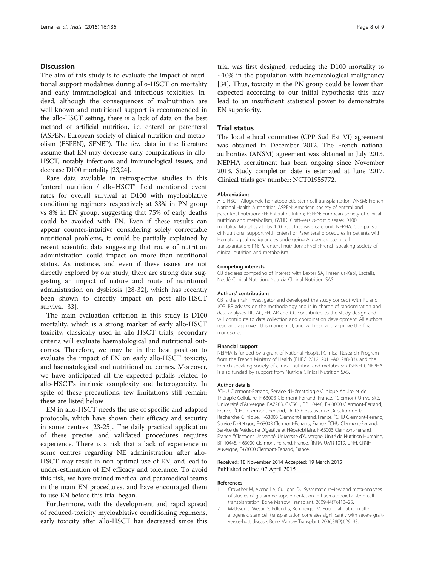#### <span id="page-7-0"></span>Discussion

The aim of this study is to evaluate the impact of nutritional support modalities during allo-HSCT on mortality and early immunological and infectious toxicities. Indeed, although the consequences of malnutrition are well known and nutritional support is recommended in the allo-HSCT setting, there is a lack of data on the best method of artificial nutrition, i.e. enteral or parenteral (ASPEN, European society of clinical nutrition and metabolism (ESPEN), SFNEP). The few data in the literature assume that EN may decrease early complications in allo-HSCT, notably infections and immunological issues, and decrease D100 mortality [[23,24](#page-8-0)].

Rare data available in retrospective studies in this "enteral nutrition / allo-HSCT" field mentioned event rates for overall survival at D100 with myeloablative conditioning regimens respectively at 33% in PN group vs 8% in EN group, suggesting that 75% of early deaths could be avoided with EN. Even if these results can appear counter-intuitive considering solely correctable nutritional problems, it could be partially explained by recent scientific data suggesting that route of nutrition administration could impact on more than nutritional status. As instance, and even if these issues are not directly explored by our study, there are strong data suggesting an impact of nature and route of nutritional administration on dysbiosis [[28-32](#page-8-0)], which has recently been shown to directly impact on post allo-HSCT survival [\[33](#page-8-0)].

The main evaluation criterion in this study is D100 mortality, which is a strong marker of early allo-HSCT toxicity, classically used in allo-HSCT trials; secondary criteria will evaluate haematological and nutritional outcomes. Therefore, we may be in the best position to evaluate the impact of EN on early allo-HSCT toxicity, and haematological and nutritional outcomes. Moreover, we have anticipated all the expected pitfalls related to allo-HSCT's intrinsic complexity and heterogeneity. In spite of these precautions, few limitations still remain: these are listed below.

EN in allo-HSCT needs the use of specific and adapted protocols, which have shown their efficacy and security in some centres [[23-25](#page-8-0)]. The daily practical application of these precise and validated procedures requires experience. There is a risk that a lack of experience in some centres regarding NE administration after allo-HSCT may result in non-optimal use of EN, and lead to under-estimation of EN efficacy and tolerance. To avoid this risk, we have trained medical and paramedical teams in the main EN procedures, and have encouraged them to use EN before this trial began.

Furthermore, with the development and rapid spread of reduced-toxicity myeloablative conditioning regimens, early toxicity after allo-HSCT has decreased since this

trial was first designed, reducing the D100 mortality to  $\sim$ 10% in the population with haematological malignancy [[34\]](#page-8-0). Thus, toxicity in the PN group could be lower than expected according to our initial hypothesis: this may lead to an insufficient statistical power to demonstrate EN superiority.

#### Trial status

The local ethical committee (CPP Sud Est VI) agreement was obtained in December 2012. The French national authorities (ANSM) agreement was obtained in July 2013. NEPHA recruitment has been ongoing since November 2013. Study completion date is estimated at June 2017. Clinical trials gov number: NCT01955772.

#### Abbreviations

Allo-HSCT: Allogeneic hematopoietic stem cell transplantation; ANSM: French National Health Authorities; ASPEN: American society of enteral and parenteral nutrition; EN: Enteral nutrition; ESPEN: European society of clinical nutrition and metabolism; GVHD: Graft-versus-host disease; D100 mortality: Mortality at day 100; ICU: Intensive care unit; NEPHA: Comparison of Nutritional support with Enteral or Parenteral procedures in patients with Hematological malignancies undergoing Allogeneic stem cell transplantation; PN: Parenteral nutrition; SFNEP: French-speaking society of clinical nutrition and metabolism.

#### Competing interests

CB declares competing of interest with Baxter SA, Fresenius-Kabi, Lactalis, Nestlé Clinical Nutrition, Nutricia Clinical Nutrition SAS.

#### Authors' contributions

CB is the main investigator and developed the study concept with RL and JOB. BP advises on the methodology and is in charge of randomisation and data analyses. RL, AC, EH, AR and CC contributed to the study design and will contribute to data collection and coordination development. All authors read and approved this manuscript, and will read and approve the final manuscript.

#### Financial support

NEPHA is funded by a grant of National Hospital Clinical Research Program from the French Ministry of Health (PHRC 2012, 2011-A01288-33), and the French-speaking society of clinical nutrition and metabolism (SFNEP). NEPHA is also funded by support from Nutricia Clinical Nutrition SAS.

#### Author details

<sup>1</sup>CHU Clermont-Ferrand, Service d'Hématologie Clinique Adulte et de Thérapie Cellulaire, F-63003 Clermont-Ferrand, France. <sup>2</sup>Clermont Université Université d'Auvergne, EA7283, CIC501, BP 10448, F-63000 Clermont-Ferrand, France.<sup>3</sup>CHU Clermont-Ferrand, Unité biostatistique Direction de la Recherche Clinique, F-63003 Clermont-Ferrand, France. <sup>4</sup>CHU Clermont-Ferrand Service Diététique, F-63003 Clermont-Ferrand, France. <sup>5</sup>CHU Clermont-Ferrand Service de Médecine Digestive et Hépatobiliaire, F-63003 Clermont-Ferrand, France. <sup>6</sup>Clermont Université, Université d'Auvergne, Unité de Nutrition Humaine, BP 10448, F-63000 Clermont-Ferrand, France. <sup>7</sup>INRA, UMR 1019, UNH, CRNH Auvergne, F-63000 Clermont-Ferrand, France.

#### Received: 18 November 2014 Accepted: 19 March 2015 Published online: 07 April 2015

#### References

- 1. Crowther M, Avenell A, Culligan DJ. Systematic review and meta-analyses of studies of glutamine supplementation in haematopoietic stem cell transplantation. Bone Marrow Transplant. 2009;44(7):413–25.
- 2. Mattsson J, Westin S, Edlund S, Remberger M. Poor oral nutrition after allogeneic stem cell transplantation correlates significantly with severe graftversus-host disease. Bone Marrow Transplant. 2006;38(9):629–33.